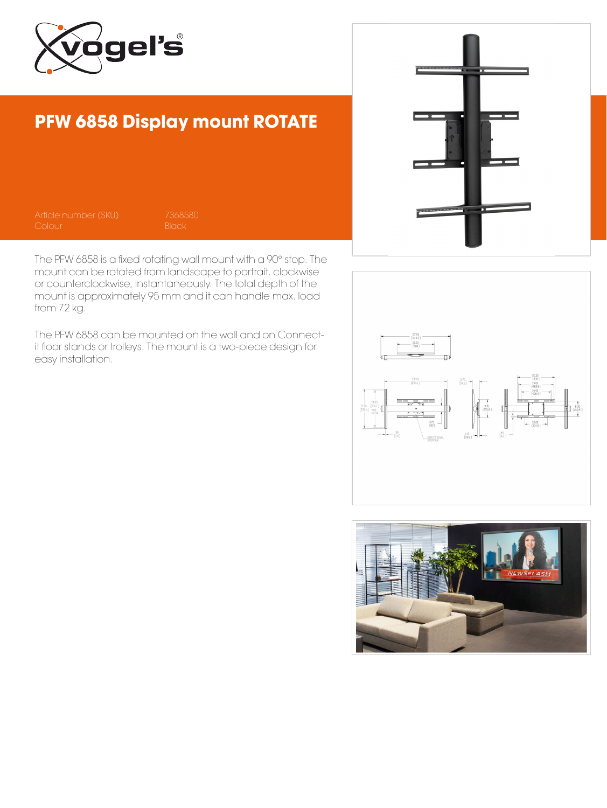

## PFW 6858 Display mount ROTATE

The PFW 6858 is a fixed rotating wall mount with a 90° stop. The mount can be rotated from landscape to portrait, clockwise or counterclockwise, instantaneously. The total depth of the mount is approximately 95 mm and it can handle max. load from 72 kg.

The PFW 6858 can be mounted on the wall and on Connectit floor stands or trolleys. The mount is a two-piece design for easy installation.